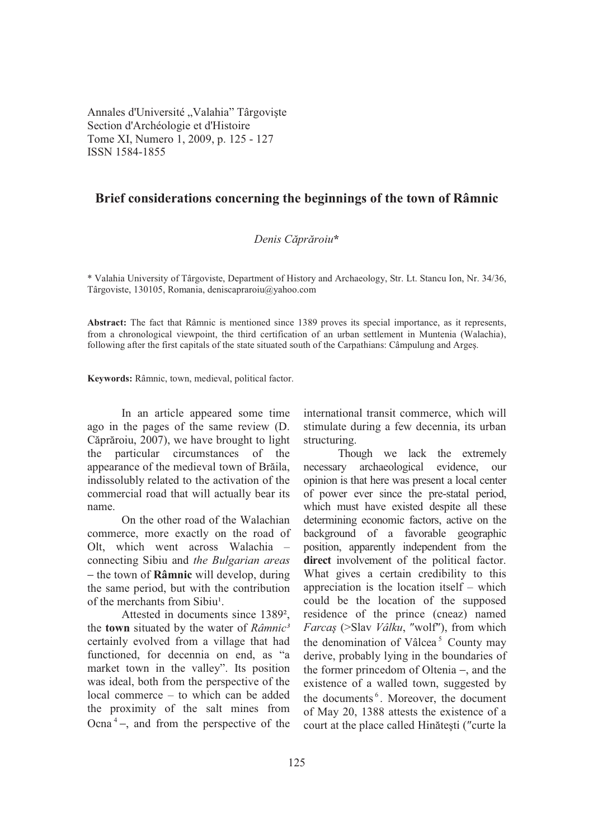Annales d'Université "Valahia" Târgoviște Section d'Archéologie et d'Histoire Tome XI, Numero 1, 2009, p. 125 - 127 ISSN 1584-1855

## **Brief considerations concerning the beginnings of the town of Râmnic**

## *Denis Cprroiu***\***

\* Valahia University of Târgoviste, Department of History and Archaeology, Str. Lt. Stancu Ion, Nr. 34/36, Târgoviste, 130105, Romania, deniscapraroiu@yahoo.com

**Abstract:** The fact that Râmnic is mentioned since 1389 proves its special importance, as it represents, from a chronological viewpoint, the third certification of an urban settlement in Muntenia (Walachia), following after the first capitals of the state situated south of the Carpathians: Câmpulung and Arges.

**Keywords:** Râmnic, town, medieval, political factor.

In an article appeared some time ago in the pages of the same review (D. Căprăroiu, 2007), we have brought to light the particular circumstances of the appearance of the medieval town of Brăila, indissolubly related to the activation of the commercial road that will actually bear its name.

On the other road of the Walachian commerce, more exactly on the road of Olt, which went across Walachia – connecting Sibiu and *the Bulgarian areas*  − the town of **Râmnic** will develop, during the same period, but with the contribution of the merchants from Sibiu<sup>1</sup>.

Attested in documents since 1389², the **town** situated by the water of *Râmnic³* certainly evolved from a village that had functioned, for decennia on end, as "a market town in the valley". Its position was ideal, both from the perspective of the local commerce – to which can be added the proximity of the salt mines from Ocna $<sup>4</sup>$  –, and from the perspective of the</sup>

international transit commerce, which will stimulate during a few decennia, its urban structuring.

Though we lack the extremely necessary archaeological evidence, our opinion is that here was present a local center of power ever since the pre-statal period, which must have existed despite all these determining economic factors, active on the background of a favorable geographic position, apparently independent from the **direct** involvement of the political factor. What gives a certain credibility to this appreciation is the location itself – which could be the location of the supposed residence of the prince (cneaz) named Farcaş (>Slav *Vâlku*, "wolf"), from which the denomination of Vâlcea<sup>5</sup> County may derive, probably lying in the boundaries of the former princedom of Oltenia −, and the existence of a walled town, suggested by the documents<sup>6</sup>. Moreover, the document of May 20, 1388 attests the existence of a court at the place called Hinătești ("curte la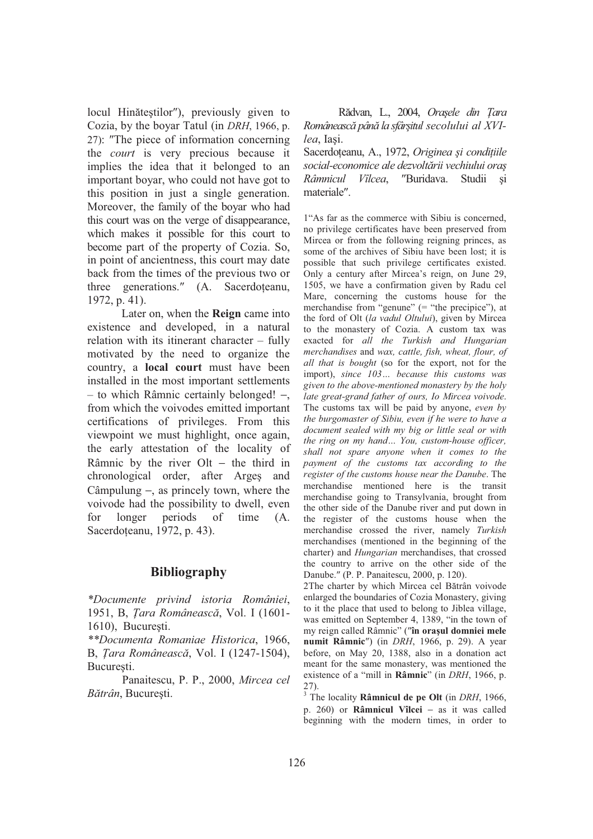locul Hinăteștilor"), previously given to Cozia, by the boyar Tatul (in *DRH*, 1966, p. 27): The piece of information concerning the *court* is very precious because it implies the idea that it belonged to an important boyar, who could not have got to this position in just a single generation. Moreover, the family of the boyar who had this court was on the verge of disappearance, which makes it possible for this court to become part of the property of Cozia. So, in point of ancientness, this court may date back from the times of the previous two or three generations." (A. Sacerdoteanu, 1972, p. 41).

Later on, when the **Reign** came into existence and developed, in a natural relation with its itinerant character – fully motivated by the need to organize the country, a **local court** must have been installed in the most important settlements – to which Râmnic certainly belonged! −, from which the voivodes emitted important certifications of privileges. From this viewpoint we must highlight, once again, the early attestation of the locality of Râmnic by the river Olt − the third in chronological order, after Arges and Câmpulung −, as princely town, where the voivode had the possibility to dwell, even for longer periods of time (A. Sacerdoteanu, 1972, p. 43).

## **Bibliography**

*\*Documente privind istoria României*, 1951, B, *ara Româneasc*, Vol. I (1601- 1610), București.

*\*\*Documenta Romaniae Historica*, 1966, B, *Tara Românească*, Vol. I (1247-1504), Bucuresti.

Panaitescu, P. P., 2000, *Mircea cel Bătrân*, București.

Rădvan, L., 2004, *Orașele din Țara Româneasc pân la sfâr-itul secolului al XVIlea*, Iasi.

Sacerdoțeanu, A., 1972, Originea și condițiile *social-economice ale dezvoltrii vechiului ora- Râmnicul Vîlcea*, "Buridava. Studii si materiale .

1"As far as the commerce with Sibiu is concerned, no privilege certificates have been preserved from Mircea or from the following reigning princes, as some of the archives of Sibiu have been lost; it is possible that such privilege certificates existed. Only a century after Mircea's reign, on June 29, 1505, we have a confirmation given by Radu cel Mare, concerning the customs house for the merchandise from "genune" (= "the precipice"), at the ford of Olt (*la vadul Oltului*), given by Mircea to the monastery of Cozia. A custom tax was exacted for *all the Turkish and Hungarian merchandises* and *wax, cattle, fish, wheat, flour, of all that is bought* (so for the export, not for the import), *since 103… because this customs was given to the above-mentioned monastery by the holy late great-grand father of ours, Io Mircea voivode*. The customs tax will be paid by anyone, *even by the burgomaster of Sibiu, even if he were to have a document sealed with my big or little seal or with the ring on my hand… You, custom-house officer, shall not spare anyone when it comes to the payment of the customs tax according to the register of the customs house near the Danube*. The merchandise mentioned here is the transit merchandise going to Transylvania, brought from the other side of the Danube river and put down in the register of the customs house when the merchandise crossed the river, namely *Turkish*  merchandises (mentioned in the beginning of the charter) and *Hungarian* merchandises, that crossed the country to arrive on the other side of the Danube. (P. P. Panaitescu, 2000, p. 120).

2The charter by which Mircea cel Bătrân voivode enlarged the boundaries of Cozia Monastery, giving to it the place that used to belong to Jiblea village, was emitted on September 4, 1389, "in the town of my reign called Râmnic" ( **în oraul domniei mele numit Râmnic** ) (in *DRH*, 1966, p. 29). A year before, on May 20, 1388, also in a donation act meant for the same monastery, was mentioned the existence of a "mill in **Râmnic**" (in *DRH*, 1966, p. 27).

3 The locality **Râmnicul de pe Olt** (in *DRH*, 1966, p. 260) or **Râmnicul Vîlcei** − as it was called beginning with the modern times, in order to